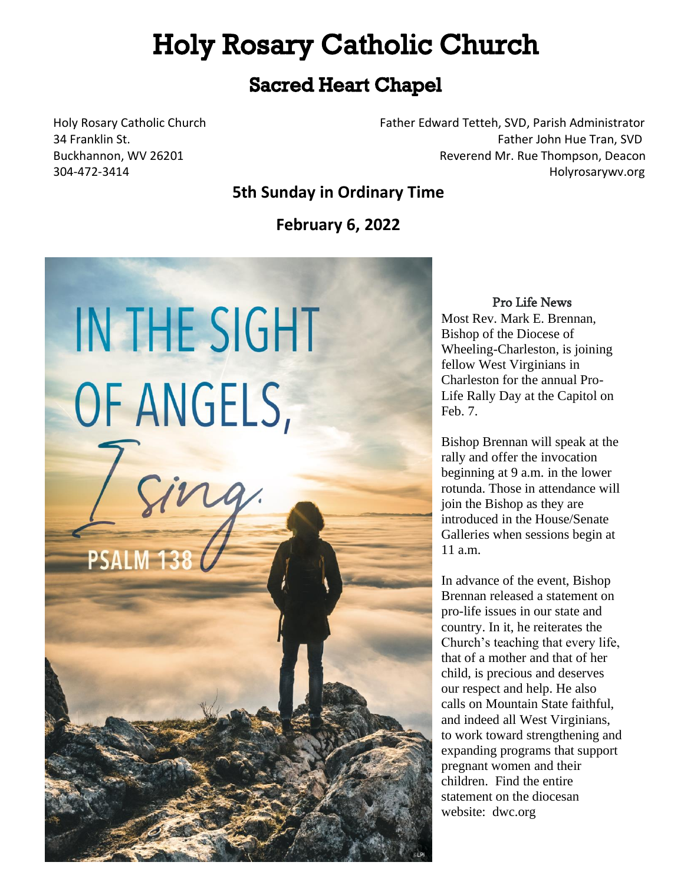# **Holy Rosary Catholic Church**

# **Sacred Heart Chapel**

Holy Rosary Catholic Church Father Edward Tetteh, SVD, Parish Administrator 34 Franklin St. Father John Hue Tran, SVD Buckhannon, WV 26201 Reverend Mr. Rue Thompson, Deacon 304-472-3414 Holyrosarywv.org

### **5th Sunday in Ordinary Time**

**February 6, 2022**



#### Pro Life News

Most Rev. Mark E. Brennan, Bishop of the Diocese of Wheeling-Charleston, is joining fellow West Virginians in Charleston for the annual Pro-Life Rally Day at the Capitol on Feb. 7.

Bishop Brennan will speak at the rally and offer the invocation beginning at 9 a.m. in the lower rotunda. Those in attendance will join the Bishop as they are introduced in the House/Senate Galleries when sessions begin at 11 a.m.

In advance of the event, Bishop Brennan released a statement on pro-life issues in our state and country. In it, he reiterates the Church's teaching that every life, that of a mother and that of her child, is precious and deserves our respect and help. He also calls on Mountain State faithful, and indeed all West Virginians, to work toward strengthening and expanding programs that support pregnant women and their children. Find the entire statement on the diocesan website: dwc.org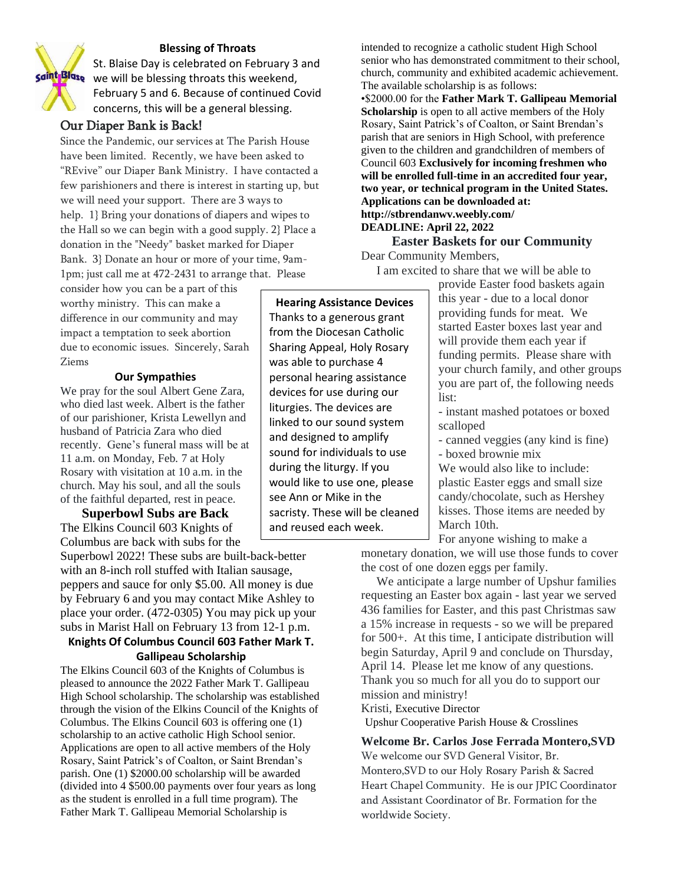#### **Blessing of Throats**

St. Blaise Day is celebrated on February 3 and saint Blase we will be blessing throats this weekend, February 5 and 6. Because of continued Covid concerns, this will be a general blessing.

#### Our Diaper Bank is Back!

Since the Pandemic, our services at The Parish House have been limited. Recently, we have been asked to "REvive" our Diaper Bank Ministry. I have contacted a few parishioners and there is interest in starting up, but we will need your support. There are 3 ways to help. 1} Bring your donations of diapers and wipes to the Hall so we can begin with a good supply. 2} Place a donation in the "Needy" basket marked for Diaper Bank. 3} Donate an hour or more of your time, 9am-1pm; just call me at 472-2431 to arrange that. Please

consider how you can be a part of this worthy ministry. This can make a difference in our community and may impact a temptation to seek abortion due to economic issues. Sincerely, Sarah Ziems

#### **Our Sympathies**

We pray for the soul Albert Gene Zara, who died last week. Albert is the father of our parishioner, Krista Lewellyn and husband of Patricia Zara who died recently. Gene's funeral mass will be at 11 a.m. on Monday, Feb. 7 at Holy Rosary with visitation at 10 a.m. in the church. May his soul, and all the souls of the faithful departed, rest in peace.

**Superbowl Subs are Back** The Elkins Council 603 Knights of Columbus are back with subs for the

Superbowl 2022! These subs are built-back-better with an 8-inch roll stuffed with Italian sausage, peppers and sauce for only \$5.00. All money is due by February 6 and you may contact Mike Ashley to place your order. (472-0305) You may pick up your subs in Marist Hall on February 13 from 12-1 p.m.

#### **Knights Of Columbus Council 603 Father Mark T. Gallipeau Scholarship**

The Elkins Council 603 of the Knights of Columbus is pleased to announce the 2022 Father Mark T. Gallipeau High School scholarship. The scholarship was established through the vision of the Elkins Council of the Knights of Columbus. The Elkins Council 603 is offering one (1) scholarship to an active catholic High School senior. Applications are open to all active members of the Holy Rosary, Saint Patrick's of Coalton, or Saint Brendan's parish. One (1) \$2000.00 scholarship will be awarded (divided into 4 \$500.00 payments over four years as long as the student is enrolled in a full time program). The Father Mark T. Gallipeau Memorial Scholarship is

intended to recognize a catholic student High School senior who has demonstrated commitment to their school, church, community and exhibited academic achievement. The available scholarship is as follows:

•\$2000.00 for the **Father Mark T. Gallipeau Memorial Scholarship** is open to all active members of the Holy Rosary, Saint Patrick's of Coalton, or Saint Brendan's parish that are seniors in High School, with preference given to the children and grandchildren of members of Council 603 **Exclusively for incoming freshmen who will be enrolled full-time in an accredited four year, two year, or technical program in the United States. Applications can be downloaded at: http://stbrendanwv.weebly.com/ DEADLINE: April 22, 2022**

### **Easter Baskets for our Community**

Dear Community Members,

I am excited to share that we will be able to

provide Easter food baskets again this year - due to a local donor providing funds for meat. We started Easter boxes last year and will provide them each year if funding permits. Please share with your church family, and other groups you are part of, the following needs list:

- instant mashed potatoes or boxed scalloped

- canned veggies (any kind is fine)

- boxed brownie mix

We would also like to include: plastic Easter eggs and small size candy/chocolate, such as Hershey kisses. Those items are needed by March 10th.

For anyone wishing to make a monetary donation, we will use those funds to cover the cost of one dozen eggs per family.

 We anticipate a large number of Upshur families requesting an Easter box again - last year we served 436 families for Easter, and this past Christmas saw a 15% increase in requests - so we will be prepared for 500+. At this time, I anticipate distribution will begin Saturday, April 9 and conclude on Thursday, April 14. Please let me know of any questions. Thank you so much for all you do to support our mission and ministry! Kristi, Executive Director

Upshur Cooperative Parish House & Crosslines

**Welcome Br. Carlos Jose Ferrada Montero,SVD** We welcome our SVD General Visitor, Br. Montero,SVD to our Holy Rosary Parish & Sacred Heart Chapel Community. He is our JPIC Coordinator and Assistant Coordinator of Br. Formation for the worldwide Society.

## **Hearing Assistance Devices**

Thanks to a generous grant from the Diocesan Catholic Sharing Appeal, Holy Rosary was able to purchase 4 personal hearing assistance devices for use during our liturgies. The devices are linked to our sound system and designed to amplify sound for individuals to use during the liturgy. If you would like to use one, please see Ann or Mike in the sacristy. These will be cleaned and reused each week.

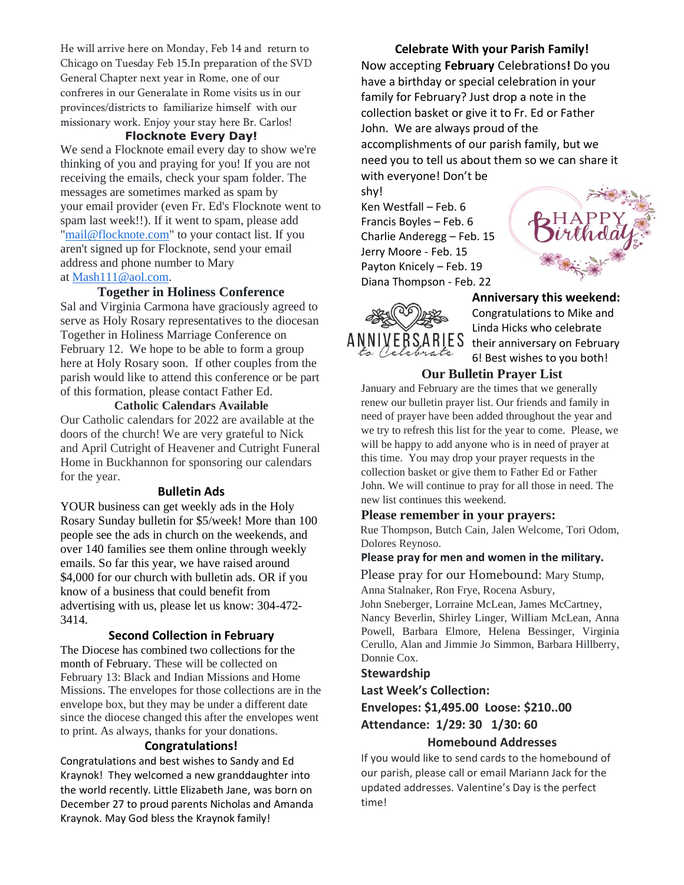He will arrive here on Monday, Feb 14 and return to Chicago on Tuesday Feb 15.In preparation of the SVD General Chapter next year in Rome, one of our confreres in our Generalate in Rome visits us in our provinces/districts to familiarize himself with our missionary work. Enjoy your stay here Br. Carlos!

#### **Flocknote Every Day!**

We send a Flocknote email every day to show we're thinking of you and praying for you! If you are not receiving the emails, check your spam folder. The messages are sometimes marked as spam by your email provider (even Fr. Ed's Flocknote went to spam last week!!). If it went to spam, please add ["mail@flocknote.com"](mailto:mail@flocknote.com) to your contact list. If you aren't signed up for Flocknote, send your email address and phone number to Mary at [Mash111@aol.com.](mailto:Mash111@aol.com)

#### **Together in Holiness Conference**

Sal and Virginia Carmona have graciously agreed to serve as Holy Rosary representatives to the diocesan Together in Holiness Marriage Conference on February 12. We hope to be able to form a group here at Holy Rosary soon. If other couples from the parish would like to attend this conference or be part of this formation, please contact Father Ed.

#### **Catholic Calendars Available**

Our Catholic calendars for 2022 are available at the doors of the church! We are very grateful to Nick and April Cutright of Heavener and Cutright Funeral Home in Buckhannon for sponsoring our calendars for the year.

#### **Bulletin Ads**

YOUR business can get weekly ads in the Holy Rosary Sunday bulletin for \$5/week! More than 100 people see the ads in church on the weekends, and over 140 families see them online through weekly emails. So far this year, we have raised around \$4,000 for our church with bulletin ads. OR if you know of a business that could benefit from advertising with us, please let us know: 304-472- 3414.

#### **Second Collection in February**

The Diocese has combined two collections for the month of February. These will be collected on February 13: Black and Indian Missions and Home Missions. The envelopes for those collections are in the envelope box, but they may be under a different date since the diocese changed this after the envelopes went to print. As always, thanks for your donations.

#### **Congratulations!**

Congratulations and best wishes to Sandy and Ed Kraynok! They welcomed a new granddaughter into the world recently. Little Elizabeth Jane, was born on December 27 to proud parents Nicholas and Amanda Kraynok. May God bless the Kraynok family!

**Celebrate With your Parish Family!** Now accepting **February** Celebrations**!** Do you have a birthday or special celebration in your family for February? Just drop a note in the collection basket or give it to Fr. Ed or Father John. We are always proud of the accomplishments of our parish family, but we need you to tell us about them so we can share it with everyone! Don't be

shy! Ken Westfall – Feb. 6 Francis Boyles – Feb. 6 Charlie Anderegg – Feb. 15 Jerry Moore - Feb. 15 Payton Knicely – Feb. 19 Diana Thompson - Feb. 22





**Anniversary this weekend:** Congratulations to Mike and Linda Hicks who celebrate their anniversary on February 6! Best wishes to you both!

#### **Our Bulletin Prayer List**

January and February are the times that we generally renew our bulletin prayer list. Our friends and family in need of prayer have been added throughout the year and we try to refresh this list for the year to come. Please, we will be happy to add anyone who is in need of prayer at this time. You may drop your prayer requests in the collection basket or give them to Father Ed or Father John. We will continue to pray for all those in need. The new list continues this weekend.

#### **Please remember in your prayers:**

Rue Thompson, Butch Cain, Jalen Welcome, Tori Odom, Dolores Reynoso.

#### **Please pray for men and women in the military.**

Please pray for our Homebound: Mary Stump,

Anna Stalnaker, Ron Frye, Rocena Asbury,

John Sneberger, Lorraine McLean, James McCartney, Nancy Beverlin, Shirley Linger, William McLean, Anna Powell, Barbara Elmore, Helena Bessinger, Virginia Cerullo, Alan and Jimmie Jo Simmon, Barbara Hillberry, Donnie Cox.

#### **Stewardship**

**Last Week's Collection:**

### **Envelopes: \$1,495.00 Loose: \$210..00 Attendance: 1/29: 30 1/30: 60**

#### **Homebound Addresses**

If you would like to send cards to the homebound of our parish, please call or email Mariann Jack for the updated addresses. Valentine's Day is the perfect time!